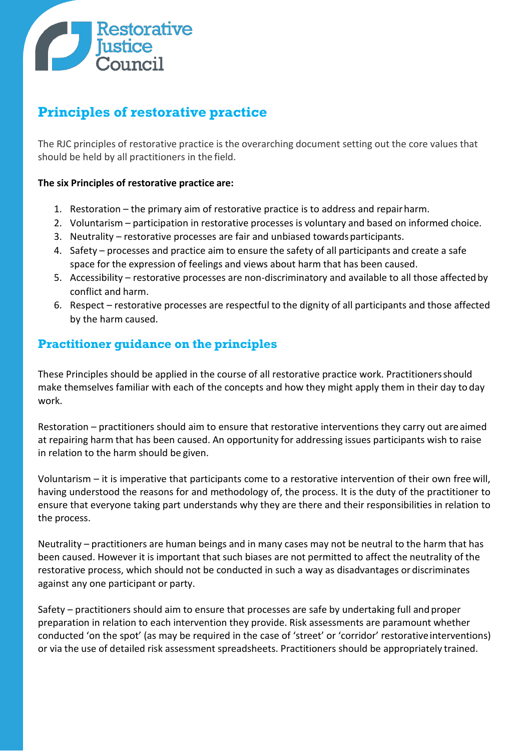

## **Principles of restorative practice**

The RJC principles of restorative practice is the overarching document setting out the core values that should be held by all practitioners in the field.

## **The six Principles of restorative practice are:**

- 1. Restoration the primary aim of restorative practice is to address and repairharm.
- 2. Voluntarism participation in restorative processes is voluntary and based on informed choice.
- 3. Neutrality restorative processes are fair and unbiased towardsparticipants.
- 4. Safety processes and practice aim to ensure the safety of all participants and create a safe space for the expression of feelings and views about harm that has been caused.
- 5. Accessibility restorative processes are non-discriminatory and available to all those affected by conflict and harm.
- 6. Respect restorative processes are respectful to the dignity of all participants and those affected by the harm caused.

## **Practitioner guidance on the principles**

These Principles should be applied in the course of all restorative practice work. Practitionersshould make themselves familiar with each of the concepts and how they might apply them in their day to day work.

Restoration – practitioners should aim to ensure that restorative interventions they carry out areaimed at repairing harm that has been caused. An opportunity for addressing issues participants wish to raise in relation to the harm should be given.

Voluntarism – it is imperative that participants come to a restorative intervention of their own free will, having understood the reasons for and methodology of, the process. It is the duty of the practitioner to ensure that everyone taking part understands why they are there and their responsibilities in relation to the process.

Neutrality – practitioners are human beings and in many cases may not be neutral to the harm that has been caused. However it is important that such biases are not permitted to affect the neutrality of the restorative process, which should not be conducted in such a way as disadvantages or discriminates against any one participant or party.

Safety – practitioners should aim to ensure that processes are safe by undertaking full and proper preparation in relation to each intervention they provide. Risk assessments are paramount whether conducted 'on the spot' (as may be required in the case of 'street' or 'corridor' restorativeinterventions) or via the use of detailed risk assessment spreadsheets. Practitioners should be appropriately trained.